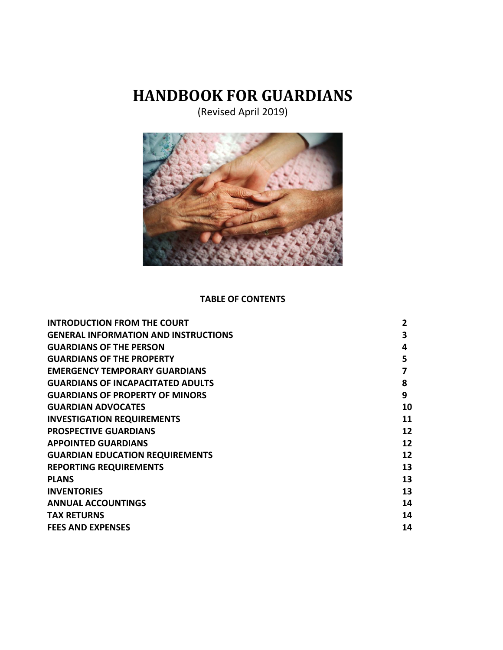# **HANDBOOK FOR GUARDIANS**

(Revised April 2019)



#### **TABLE OF CONTENTS**

| <b>INTRODUCTION FROM THE COURT</b>          |    |
|---------------------------------------------|----|
| <b>GENERAL INFORMATION AND INSTRUCTIONS</b> | 3  |
| <b>GUARDIANS OF THE PERSON</b>              | 4  |
| <b>GUARDIANS OF THE PROPERTY</b>            | 5  |
| <b>EMERGENCY TEMPORARY GUARDIANS</b>        | 7  |
| <b>GUARDIANS OF INCAPACITATED ADULTS</b>    | 8  |
| <b>GUARDIANS OF PROPERTY OF MINORS</b>      | 9  |
| <b>GUARDIAN ADVOCATES</b>                   | 10 |
| <b>INVESTIGATION REQUIREMENTS</b>           | 11 |
| <b>PROSPECTIVE GUARDIANS</b>                | 12 |
| <b>APPOINTED GUARDIANS</b>                  | 12 |
| <b>GUARDIAN EDUCATION REQUIREMENTS</b>      | 12 |
| <b>REPORTING REQUIREMENTS</b>               | 13 |
| <b>PLANS</b>                                | 13 |
| <b>INVENTORIES</b>                          | 13 |
| <b>ANNUAL ACCOUNTINGS</b>                   | 14 |
| <b>TAX RETURNS</b>                          | 14 |
| <b>FEES AND EXPENSES</b>                    | 14 |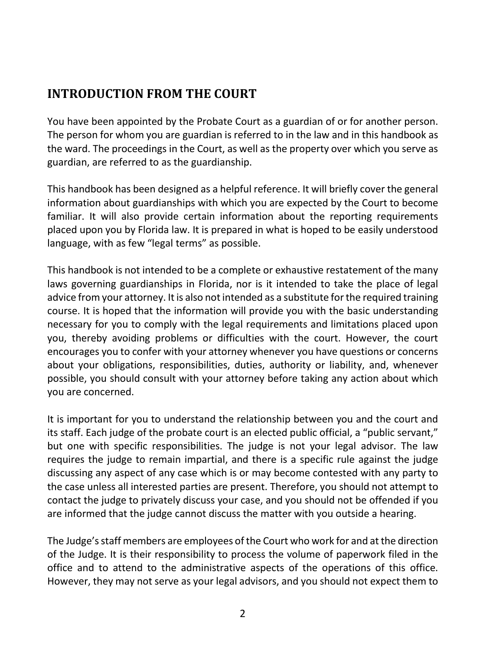## **INTRODUCTION FROM THE COURT**

You have been appointed by the Probate Court as a guardian of or for another person. The person for whom you are guardian is referred to in the law and in this handbook as the ward. The proceedings in the Court, as well as the property over which you serve as guardian, are referred to as the guardianship.

This handbook has been designed as a helpful reference. It will briefly cover the general information about guardianships with which you are expected by the Court to become familiar. It will also provide certain information about the reporting requirements placed upon you by Florida law. It is prepared in what is hoped to be easily understood language, with as few "legal terms" as possible.

This handbook is not intended to be a complete or exhaustive restatement of the many laws governing guardianships in Florida, nor is it intended to take the place of legal advice from your attorney. It is also not intended as a substitute for the required training course. It is hoped that the information will provide you with the basic understanding necessary for you to comply with the legal requirements and limitations placed upon you, thereby avoiding problems or difficulties with the court. However, the court encourages you to confer with your attorney whenever you have questions or concerns about your obligations, responsibilities, duties, authority or liability, and, whenever possible, you should consult with your attorney before taking any action about which you are concerned.

It is important for you to understand the relationship between you and the court and its staff. Each judge of the probate court is an elected public official, a "public servant," but one with specific responsibilities. The judge is not your legal advisor. The law requires the judge to remain impartial, and there is a specific rule against the judge discussing any aspect of any case which is or may become contested with any party to the case unless all interested parties are present. Therefore, you should not attempt to contact the judge to privately discuss your case, and you should not be offended if you are informed that the judge cannot discuss the matter with you outside a hearing.

The Judge's staff members are employees of the Court who work for and at the direction of the Judge. It is their responsibility to process the volume of paperwork filed in the office and to attend to the administrative aspects of the operations of this office. However, they may not serve as your legal advisors, and you should not expect them to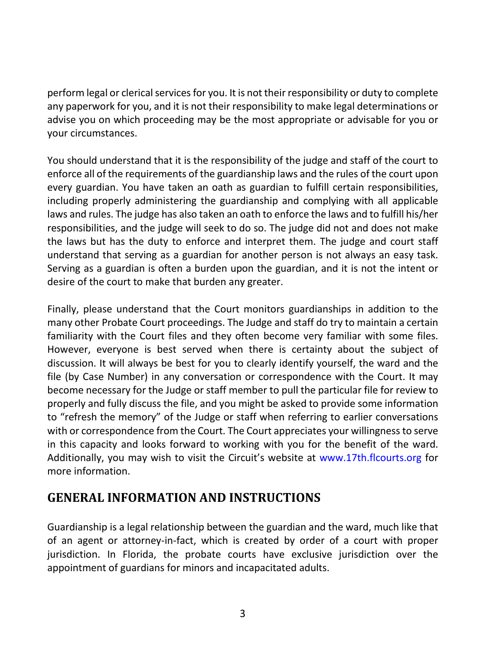perform legal or clerical services for you. It is not their responsibility or duty to complete any paperwork for you, and it is not their responsibility to make legal determinations or advise you on which proceeding may be the most appropriate or advisable for you or your circumstances.

You should understand that it is the responsibility of the judge and staff of the court to enforce all of the requirements of the guardianship laws and the rules of the court upon every guardian. You have taken an oath as guardian to fulfill certain responsibilities, including properly administering the guardianship and complying with all applicable laws and rules. The judge has also taken an oath to enforce the laws and to fulfill his/her responsibilities, and the judge will seek to do so. The judge did not and does not make the laws but has the duty to enforce and interpret them. The judge and court staff understand that serving as a guardian for another person is not always an easy task. Serving as a guardian is often a burden upon the guardian, and it is not the intent or desire of the court to make that burden any greater.

Finally, please understand that the Court monitors guardianships in addition to the many other Probate Court proceedings. The Judge and staff do try to maintain a certain familiarity with the Court files and they often become very familiar with some files. However, everyone is best served when there is certainty about the subject of discussion. It will always be best for you to clearly identify yourself, the ward and the file (by Case Number) in any conversation or correspondence with the Court. It may become necessary for the Judge or staff member to pull the particular file for review to properly and fully discuss the file, and you might be asked to provide some information to "refresh the memory" of the Judge or staff when referring to earlier conversations with or correspondence from the Court. The Court appreciates your willingness to serve in this capacity and looks forward to working with you for the benefit of the ward. Additionally, you may wish to visit the Circuit's website at [www.17th.flcourts.org](http://www.17th.flcourts.org/) for more information.

### **GENERAL INFORMATION AND INSTRUCTIONS**

Guardianship is a legal relationship between the guardian and the ward, much like that of an agent or attorney-in-fact, which is created by order of a court with proper jurisdiction. In Florida, the probate courts have exclusive jurisdiction over the appointment of guardians for minors and incapacitated adults.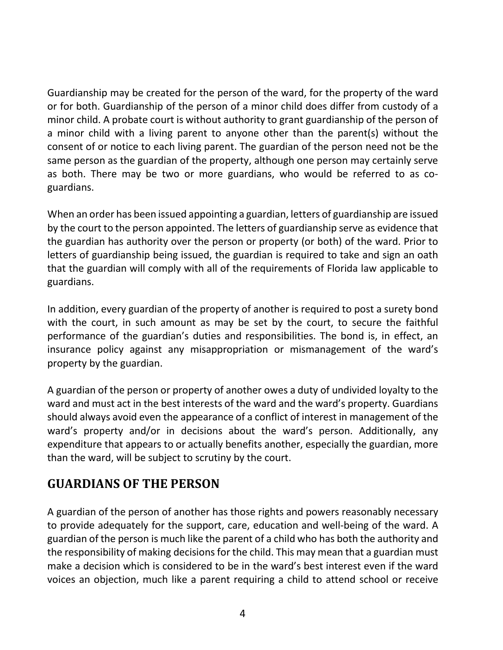Guardianship may be created for the person of the ward, for the property of the ward or for both. Guardianship of the person of a minor child does differ from custody of a minor child. A probate court is without authority to grant guardianship of the person of a minor child with a living parent to anyone other than the parent(s) without the consent of or notice to each living parent. The guardian of the person need not be the same person as the guardian of the property, although one person may certainly serve as both. There may be two or more guardians, who would be referred to as coguardians.

When an order has been issued appointing a guardian, letters of guardianship are issued by the court to the person appointed. The letters of guardianship serve as evidence that the guardian has authority over the person or property (or both) of the ward. Prior to letters of guardianship being issued, the guardian is required to take and sign an oath that the guardian will comply with all of the requirements of Florida law applicable to guardians.

In addition, every guardian of the property of another is required to post a surety bond with the court, in such amount as may be set by the court, to secure the faithful performance of the guardian's duties and responsibilities. The bond is, in effect, an insurance policy against any misappropriation or mismanagement of the ward's property by the guardian.

A guardian of the person or property of another owes a duty of undivided loyalty to the ward and must act in the best interests of the ward and the ward's property. Guardians should always avoid even the appearance of a conflict of interest in management of the ward's property and/or in decisions about the ward's person. Additionally, any expenditure that appears to or actually benefits another, especially the guardian, more than the ward, will be subject to scrutiny by the court.

### **GUARDIANS OF THE PERSON**

A guardian of the person of another has those rights and powers reasonably necessary to provide adequately for the support, care, education and well-being of the ward. A guardian of the person is much like the parent of a child who has both the authority and the responsibility of making decisions for the child. This may mean that a guardian must make a decision which is considered to be in the ward's best interest even if the ward voices an objection, much like a parent requiring a child to attend school or receive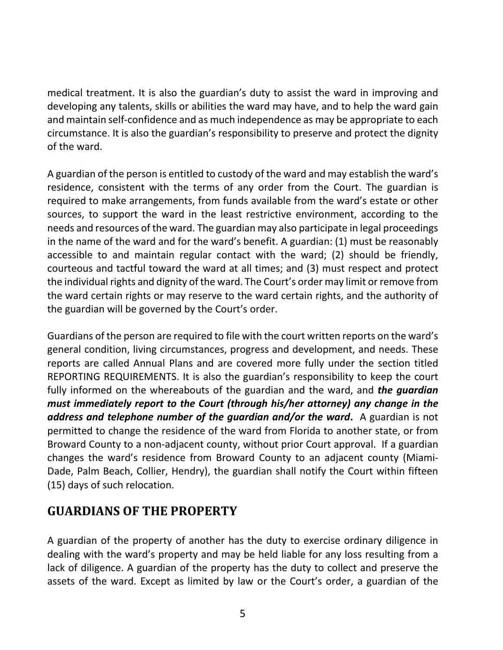medical treatment. It is also the guardian's duty to assist the ward in improving and developing any talents, skills or abilities the ward may have, and to help the ward gain and maintain self-confidence and as much independence as may be appropriate to each circumstance. It is also the guardian's responsibility to preserve and protect the dignity of the ward.

A guardian of the person is entitled to custody of the ward and may establish the ward's residence, consistent with the terms of any order from the Court. The guardian is required to make arrangements, from funds available from the ward's estate or other sources, to support the ward in the least restrictive environment, according to the needs and resources of the ward. The guardian may also participate in legal proceedings in the name of the ward and for the ward's benefit. A guardian: (1) must be reasonably accessible to and maintain regular contact with the ward; (2) should be friendly, courteous and tactful toward the ward at all times; and (3) must respect and protect the individual rights and dignity of the ward. The Court's order may limit or remove from the ward certain rights or may reserve to the ward certain rights, and the authority of the guardian will be governed by the Court's order.

Guardians of the person are required to file with the court written reports on the ward's general condition, living circumstances, progress and development, and needs. These reports are called Annual Plans and are covered more fully under the section titled REPORTING REQUIREMENTS. It is also the guardian's responsibility to keep the court fully informed on the whereabouts of the guardian and the ward, and *the guardian must immediately report to the Court (through his/her attorney) any change in the address and telephone number of the guardian and/or the ward***.** A guardian is not permitted to change the residence of the ward from Florida to another state, or from Broward County to a non-adjacent county, without prior Court approval. If a guardian changes the ward's residence from Broward County to an adjacent county (Miami-Dade, Palm Beach, Collier, Hendry), the guardian shall notify the Court within fifteen (15) days of such relocation.

### **GUARDIANS OF THE PROPERTY**

A guardian of the property of another has the duty to exercise ordinary diligence in dealing with the ward's property and may be held liable for any loss resulting from a lack of diligence. A guardian of the property has the duty to collect and preserve the assets of the ward. Except as limited by law or the Court's order, a guardian of the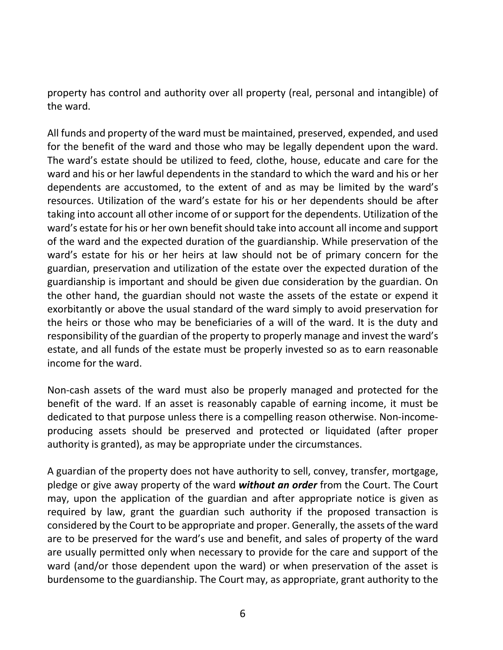property has control and authority over all property (real, personal and intangible) of the ward.

All funds and property of the ward must be maintained, preserved, expended, and used for the benefit of the ward and those who may be legally dependent upon the ward. The ward's estate should be utilized to feed, clothe, house, educate and care for the ward and his or her lawful dependents in the standard to which the ward and his or her dependents are accustomed, to the extent of and as may be limited by the ward's resources. Utilization of the ward's estate for his or her dependents should be after taking into account all other income of or support for the dependents. Utilization of the ward's estate for his or her own benefit should take into account all income and support of the ward and the expected duration of the guardianship. While preservation of the ward's estate for his or her heirs at law should not be of primary concern for the guardian, preservation and utilization of the estate over the expected duration of the guardianship is important and should be given due consideration by the guardian. On the other hand, the guardian should not waste the assets of the estate or expend it exorbitantly or above the usual standard of the ward simply to avoid preservation for the heirs or those who may be beneficiaries of a will of the ward. It is the duty and responsibility of the guardian of the property to properly manage and invest the ward's estate, and all funds of the estate must be properly invested so as to earn reasonable income for the ward.

Non-cash assets of the ward must also be properly managed and protected for the benefit of the ward. If an asset is reasonably capable of earning income, it must be dedicated to that purpose unless there is a compelling reason otherwise. Non-incomeproducing assets should be preserved and protected or liquidated (after proper authority is granted), as may be appropriate under the circumstances.

A guardian of the property does not have authority to sell, convey, transfer, mortgage, pledge or give away property of the ward *without an order* from the Court. The Court may, upon the application of the guardian and after appropriate notice is given as required by law, grant the guardian such authority if the proposed transaction is considered by the Court to be appropriate and proper. Generally, the assets of the ward are to be preserved for the ward's use and benefit, and sales of property of the ward are usually permitted only when necessary to provide for the care and support of the ward (and/or those dependent upon the ward) or when preservation of the asset is burdensome to the guardianship. The Court may, as appropriate, grant authority to the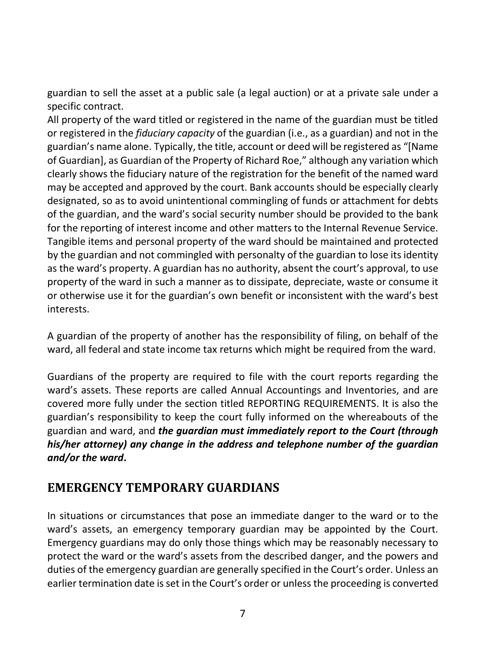guardian to sell the asset at a public sale (a legal auction) or at a private sale under a specific contract.

All property of the ward titled or registered in the name of the guardian must be titled or registered in the *fiduciary capacity* of the guardian (i.e., as a guardian) and not in the guardian's name alone. Typically, the title, account or deed will be registered as "[Name of Guardian], as Guardian of the Property of Richard Roe," although any variation which clearly shows the fiduciary nature of the registration for the benefit of the named ward may be accepted and approved by the court. Bank accounts should be especially clearly designated, so as to avoid unintentional commingling of funds or attachment for debts of the guardian, and the ward's social security number should be provided to the bank for the reporting of interest income and other matters to the Internal Revenue Service. Tangible items and personal property of the ward should be maintained and protected by the guardian and not commingled with personalty of the guardian to lose its identity as the ward's property. A guardian has no authority, absent the court's approval, to use property of the ward in such a manner as to dissipate, depreciate, waste or consume it or otherwise use it for the guardian's own benefit or inconsistent with the ward's best interests.

A guardian of the property of another has the responsibility of filing, on behalf of the ward, all federal and state income tax returns which might be required from the ward.

Guardians of the property are required to file with the court reports regarding the ward's assets. These reports are called Annual Accountings and Inventories, and are covered more fully under the section titled REPORTING REQUIREMENTS. It is also the guardian's responsibility to keep the court fully informed on the whereabouts of the guardian and ward, and *the guardian must immediately report to the Court (through his/her attorney) any change in the address and telephone number of the guardian and/or the ward***.**

### **EMERGENCY TEMPORARY GUARDIANS**

In situations or circumstances that pose an immediate danger to the ward or to the ward's assets, an emergency temporary guardian may be appointed by the Court. Emergency guardians may do only those things which may be reasonably necessary to protect the ward or the ward's assets from the described danger, and the powers and duties of the emergency guardian are generally specified in the Court's order. Unless an earlier termination date is set in the Court's order or unless the proceeding is converted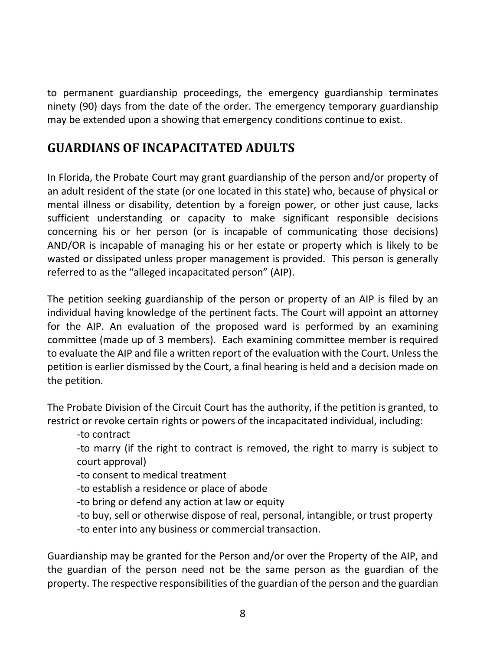to permanent guardianship proceedings, the emergency guardianship terminates ninety (90) days from the date of the order. The emergency temporary guardianship may be extended upon a showing that emergency conditions continue to exist.

### **GUARDIANS OF INCAPACITATED ADULTS**

In Florida, the Probate Court may grant guardianship of the person and/or property of an adult resident of the state (or one located in this state) who, because of physical or mental illness or disability, detention by a foreign power, or other just cause, lacks sufficient understanding or capacity to make significant responsible decisions concerning his or her person (or is incapable of communicating those decisions) AND/OR is incapable of managing his or her estate or property which is likely to be wasted or dissipated unless proper management is provided. This person is generally referred to as the "alleged incapacitated person" (AIP).

The petition seeking guardianship of the person or property of an AIP is filed by an individual having knowledge of the pertinent facts. The Court will appoint an attorney for the AIP. An evaluation of the proposed ward is performed by an examining committee (made up of 3 members). Each examining committee member is required to evaluate the AIP and file a written report of the evaluation with the Court. Unless the petition is earlier dismissed by the Court, a final hearing is held and a decision made on the petition.

The Probate Division of the Circuit Court has the authority, if the petition is granted, to restrict or revoke certain rights or powers of the incapacitated individual, including:

-to contract

-to marry (if the right to contract is removed, the right to marry is subject to court approval)

-to consent to medical treatment

-to establish a residence or place of abode

-to bring or defend any action at law or equity

-to buy, sell or otherwise dispose of real, personal, intangible, or trust property

-to enter into any business or commercial transaction.

Guardianship may be granted for the Person and/or over the Property of the AIP, and the guardian of the person need not be the same person as the guardian of the property. The respective responsibilities of the guardian of the person and the guardian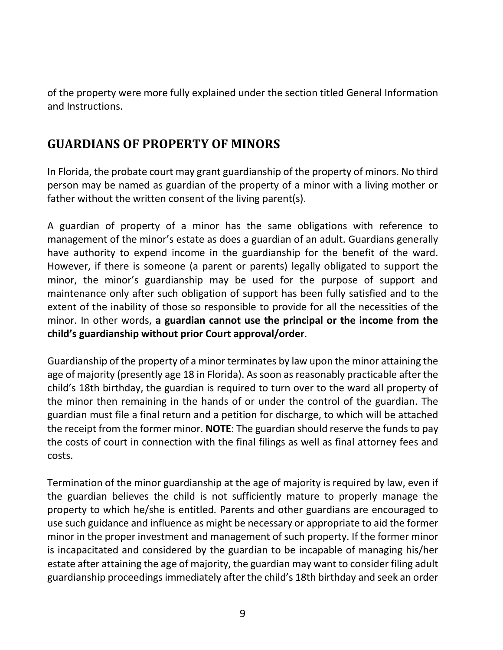of the property were more fully explained under the section titled General Information and Instructions.

### **GUARDIANS OF PROPERTY OF MINORS**

In Florida, the probate court may grant guardianship of the property of minors. No third person may be named as guardian of the property of a minor with a living mother or father without the written consent of the living parent(s).

A guardian of property of a minor has the same obligations with reference to management of the minor's estate as does a guardian of an adult. Guardians generally have authority to expend income in the guardianship for the benefit of the ward. However, if there is someone (a parent or parents) legally obligated to support the minor, the minor's guardianship may be used for the purpose of support and maintenance only after such obligation of support has been fully satisfied and to the extent of the inability of those so responsible to provide for all the necessities of the minor. In other words, **a guardian cannot use the principal or the income from the child's guardianship without prior Court approval/order**.

Guardianship of the property of a minor terminates by law upon the minor attaining the age of majority (presently age 18 in Florida). As soon as reasonably practicable after the child's 18th birthday, the guardian is required to turn over to the ward all property of the minor then remaining in the hands of or under the control of the guardian. The guardian must file a final return and a petition for discharge, to which will be attached the receipt from the former minor. **NOTE**: The guardian should reserve the funds to pay the costs of court in connection with the final filings as well as final attorney fees and costs.

Termination of the minor guardianship at the age of majority is required by law, even if the guardian believes the child is not sufficiently mature to properly manage the property to which he/she is entitled. Parents and other guardians are encouraged to use such guidance and influence as might be necessary or appropriate to aid the former minor in the proper investment and management of such property. If the former minor is incapacitated and considered by the guardian to be incapable of managing his/her estate after attaining the age of majority, the guardian may want to consider filing adult guardianship proceedings immediately after the child's 18th birthday and seek an order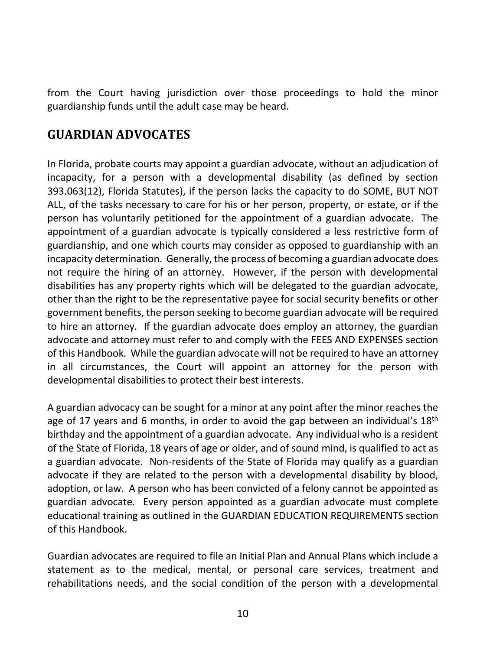from the Court having jurisdiction over those proceedings to hold the minor guardianship funds until the adult case may be heard.

### **GUARDIAN ADVOCATES**

In Florida, probate courts may appoint a guardian advocate, without an adjudication of incapacity, for a person with a developmental disability (as defined by section 393.063(12), Florida Statutes), if the person lacks the capacity to do SOME, BUT NOT ALL, of the tasks necessary to care for his or her person, property, or estate, or if the person has voluntarily petitioned for the appointment of a guardian advocate. The appointment of a guardian advocate is typically considered a less restrictive form of guardianship, and one which courts may consider as opposed to guardianship with an incapacity determination. Generally, the process of becoming a guardian advocate does not require the hiring of an attorney. However, if the person with developmental disabilities has any property rights which will be delegated to the guardian advocate, other than the right to be the representative payee for social security benefits or other government benefits, the person seeking to become guardian advocate will be required to hire an attorney. If the guardian advocate does employ an attorney, the guardian advocate and attorney must refer to and comply with the FEES AND EXPENSES section of this Handbook. While the guardian advocate will not be required to have an attorney in all circumstances, the Court will appoint an attorney for the person with developmental disabilities to protect their best interests.

A guardian advocacy can be sought for a minor at any point after the minor reaches the age of 17 years and 6 months, in order to avoid the gap between an individual's  $18<sup>th</sup>$ birthday and the appointment of a guardian advocate. Any individual who is a resident of the State of Florida, 18 years of age or older, and of sound mind, is qualified to act as a guardian advocate. Non-residents of the State of Florida may qualify as a guardian advocate if they are related to the person with a developmental disability by blood, adoption, or law. A person who has been convicted of a felony cannot be appointed as guardian advocate. Every person appointed as a guardian advocate must complete educational training as outlined in the GUARDIAN EDUCATION REQUIREMENTS section of this Handbook.

Guardian advocates are required to file an Initial Plan and Annual Plans which include a statement as to the medical, mental, or personal care services, treatment and rehabilitations needs, and the social condition of the person with a developmental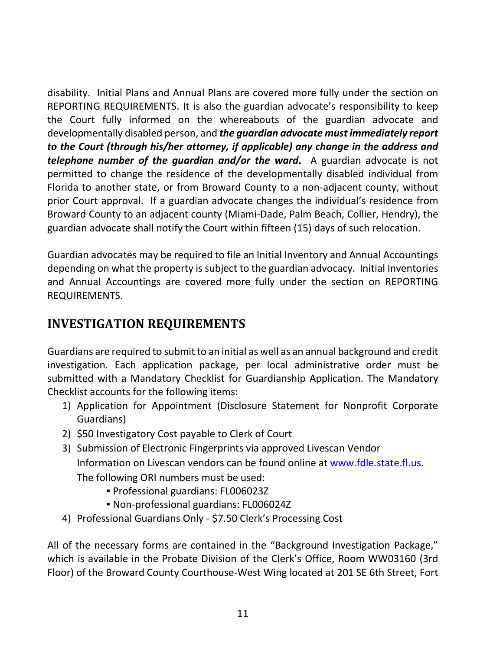disability. Initial Plans and Annual Plans are covered more fully under the section on REPORTING REQUIREMENTS. It is also the guardian advocate's responsibility to keep the Court fully informed on the whereabouts of the guardian advocate and developmentally disabled person, and *the guardian advocate must immediately report to the Court (through his/her attorney, if applicable) any change in the address and telephone number of the guardian and/or the ward***.** A guardian advocate is not permitted to change the residence of the developmentally disabled individual from Florida to another state, or from Broward County to a non-adjacent county, without prior Court approval. If a guardian advocate changes the individual's residence from Broward County to an adjacent county (Miami-Dade, Palm Beach, Collier, Hendry), the guardian advocate shall notify the Court within fifteen (15) days of such relocation.

Guardian advocates may be required to file an Initial Inventory and Annual Accountings depending on what the property is subject to the guardian advocacy. Initial Inventories and Annual Accountings are covered more fully under the section on REPORTING REQUIREMENTS.

### **INVESTIGATION REQUIREMENTS**

Guardians are required to submit to an initial as well as an annual background and credit investigation. Each application package, per local administrative order must be submitted with a Mandatory Checklist for Guardianship Application. The Mandatory Checklist accounts for the following items:

- 1) Application for Appointment (Disclosure Statement for Nonprofit Corporate Guardians)
- 2) \$50 Investigatory Cost payable to Clerk of Court
- 3) Submission of Electronic Fingerprints via approved Livescan Vendor Information on Livescan vendors can be found online at [www.fdle.state.fl.us.](http://www.fdle.state.fl.us/) The following ORI numbers must be used:
	- Professional guardians: FL006023Z
	- Non-professional guardians: FL006024Z
- 4) Professional Guardians Only \$7.50 Clerk's Processing Cost

All of the necessary forms are contained in the "Background Investigation Package," which is available in the Probate Division of the Clerk's Office, Room WW03160 (3rd Floor) of the Broward County Courthouse-West Wing located at 201 SE 6th Street, Fort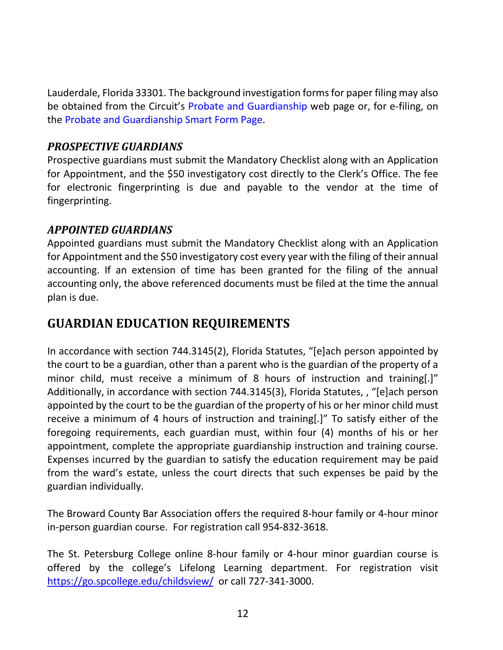Lauderdale, Florida 33301. The background investigation forms for paper filing may also be obtained from the Circuit's [Probate and Guardianship](http://www.17th.flcourts.org/index.php/judges/probate/probate-and-guardianship-smart-forms) web page or, for e-filing, on the [Probate and Guardianship Smart Form Page.](http://www.17th.flcourts.org/index.php/judges/probate/probate-and-guardianship-smart-forms)

#### *PROSPECTIVE GUARDIANS*

Prospective guardians must submit the Mandatory Checklist along with an Application for Appointment, and the \$50 investigatory cost directly to the Clerk's Office. The fee for electronic fingerprinting is due and payable to the vendor at the time of fingerprinting.

#### *APPOINTED GUARDIANS*

Appointed guardians must submit the Mandatory Checklist along with an Application for Appointment and the \$50 investigatory cost every year with the filing of their annual accounting. If an extension of time has been granted for the filing of the annual accounting only, the above referenced documents must be filed at the time the annual plan is due.

### **GUARDIAN EDUCATION REQUIREMENTS**

In accordance with section 744.3145(2), Florida Statutes, "[e]ach person appointed by the court to be a guardian, other than a parent who is the guardian of the property of a minor child, must receive a minimum of 8 hours of instruction and training[.]" Additionally, in accordance with section 744.3145(3), Florida Statutes, , "[e]ach person appointed by the court to be the guardian of the property of his or her minor child must receive a minimum of 4 hours of instruction and training[.]" To satisfy either of the foregoing requirements, each guardian must, within four (4) months of his or her appointment, complete the appropriate guardianship instruction and training course. Expenses incurred by the guardian to satisfy the education requirement may be paid from the ward's estate, unless the court directs that such expenses be paid by the guardian individually.

The Broward County Bar Association offers the required 8-hour family or 4-hour minor in-person guardian course. For registration call 954-832-3618.

The St. Petersburg College online 8-hour family or 4-hour minor guardian course is offered by the college's Lifelong Learning department. For registration visit <https://go.spcollege.edu/childsview/> or call 727-341-3000.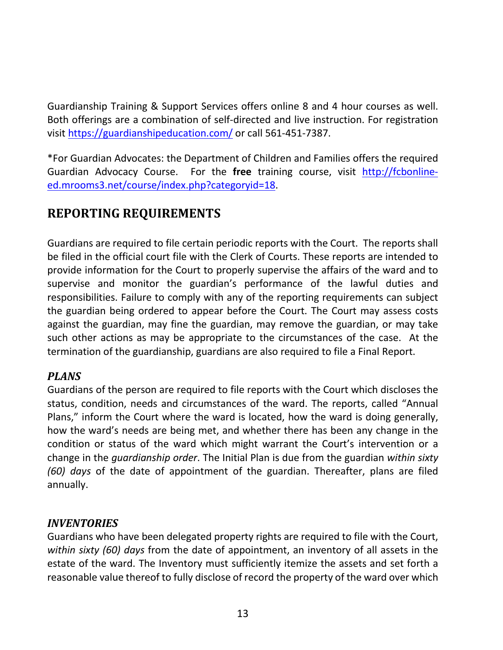Guardianship Training & Support Services offers online 8 and 4 hour courses as well. Both offerings are a combination of self-directed and live instruction. For registration visit<https://guardianshipeducation.com/> or call 561-451-7387.

\*For Guardian Advocates: the Department of Children and Families offers the required Guardian Advocacy Course. For the **free** training course, visit [http://fcbonline](http://fcbonline-ed.mrooms3.net/course/index.php?categoryid=18)[ed.mrooms3.net/course/index.php?categoryid=18.](http://fcbonline-ed.mrooms3.net/course/index.php?categoryid=18)

## **REPORTING REQUIREMENTS**

Guardians are required to file certain periodic reports with the Court. The reports shall be filed in the official court file with the Clerk of Courts. These reports are intended to provide information for the Court to properly supervise the affairs of the ward and to supervise and monitor the guardian's performance of the lawful duties and responsibilities. Failure to comply with any of the reporting requirements can subject the guardian being ordered to appear before the Court. The Court may assess costs against the guardian, may fine the guardian, may remove the guardian, or may take such other actions as may be appropriate to the circumstances of the case. At the termination of the guardianship, guardians are also required to file a Final Report.

### *PLANS*

Guardians of the person are required to file reports with the Court which discloses the status, condition, needs and circumstances of the ward. The reports, called "Annual Plans," inform the Court where the ward is located, how the ward is doing generally, how the ward's needs are being met, and whether there has been any change in the condition or status of the ward which might warrant the Court's intervention or a change in the *guardianship order*. The Initial Plan is due from the guardian *within sixty (60) days* of the date of appointment of the guardian. Thereafter, plans are filed annually.

#### *INVENTORIES*

Guardians who have been delegated property rights are required to file with the Court, *within sixty (60) days* from the date of appointment, an inventory of all assets in the estate of the ward. The Inventory must sufficiently itemize the assets and set forth a reasonable value thereof to fully disclose of record the property of the ward over which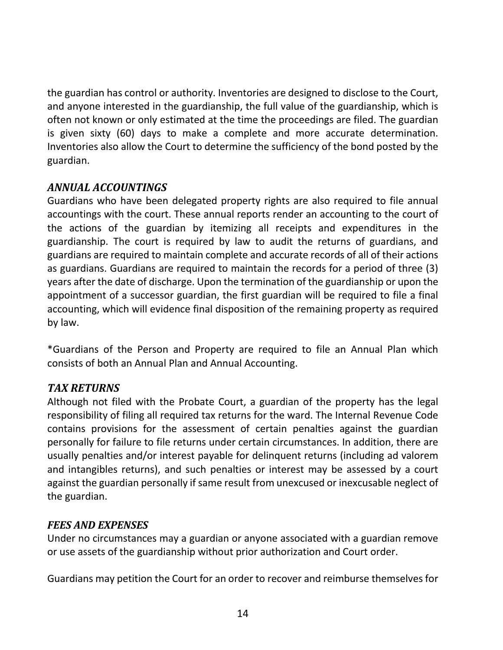the guardian has control or authority. Inventories are designed to disclose to the Court, and anyone interested in the guardianship, the full value of the guardianship, which is often not known or only estimated at the time the proceedings are filed. The guardian is given sixty (60) days to make a complete and more accurate determination. Inventories also allow the Court to determine the sufficiency of the bond posted by the guardian.

#### *ANNUAL ACCOUNTINGS*

Guardians who have been delegated property rights are also required to file annual accountings with the court. These annual reports render an accounting to the court of the actions of the guardian by itemizing all receipts and expenditures in the guardianship. The court is required by law to audit the returns of guardians, and guardians are required to maintain complete and accurate records of all of their actions as guardians. Guardians are required to maintain the records for a period of three (3) years after the date of discharge. Upon the termination of the guardianship or upon the appointment of a successor guardian, the first guardian will be required to file a final accounting, which will evidence final disposition of the remaining property as required by law.

\*Guardians of the Person and Property are required to file an Annual Plan which consists of both an Annual Plan and Annual Accounting.

#### *TAX RETURNS*

Although not filed with the Probate Court, a guardian of the property has the legal responsibility of filing all required tax returns for the ward. The Internal Revenue Code contains provisions for the assessment of certain penalties against the guardian personally for failure to file returns under certain circumstances. In addition, there are usually penalties and/or interest payable for delinquent returns (including ad valorem and intangibles returns), and such penalties or interest may be assessed by a court against the guardian personally if same result from unexcused or inexcusable neglect of the guardian.

#### *FEES AND EXPENSES*

Under no circumstances may a guardian or anyone associated with a guardian remove or use assets of the guardianship without prior authorization and Court order.

Guardians may petition the Court for an order to recover and reimburse themselves for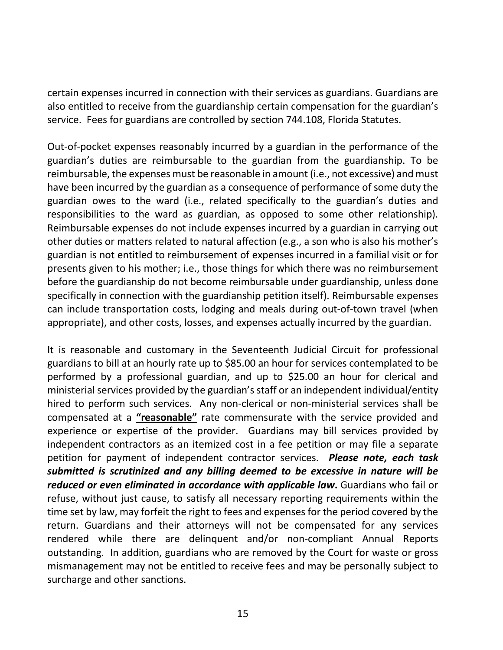certain expenses incurred in connection with their services as guardians. Guardians are also entitled to receive from the guardianship certain compensation for the guardian's service. Fees for guardians are controlled by section 744.108, Florida Statutes.

Out-of-pocket expenses reasonably incurred by a guardian in the performance of the guardian's duties are reimbursable to the guardian from the guardianship. To be reimbursable, the expenses must be reasonable in amount (i.e., not excessive) and must have been incurred by the guardian as a consequence of performance of some duty the guardian owes to the ward (i.e., related specifically to the guardian's duties and responsibilities to the ward as guardian, as opposed to some other relationship). Reimbursable expenses do not include expenses incurred by a guardian in carrying out other duties or matters related to natural affection (e.g., a son who is also his mother's guardian is not entitled to reimbursement of expenses incurred in a familial visit or for presents given to his mother; i.e., those things for which there was no reimbursement before the guardianship do not become reimbursable under guardianship, unless done specifically in connection with the guardianship petition itself). Reimbursable expenses can include transportation costs, lodging and meals during out-of-town travel (when appropriate), and other costs, losses, and expenses actually incurred by the guardian.

It is reasonable and customary in the Seventeenth Judicial Circuit for professional guardians to bill at an hourly rate up to \$85.00 an hour for services contemplated to be performed by a professional guardian, and up to \$25.00 an hour for clerical and ministerial services provided by the guardian's staff or an independent individual/entity hired to perform such services. Any non-clerical or non-ministerial services shall be compensated at a **"reasonable"** rate commensurate with the service provided and experience or expertise of the provider. Guardians may bill services provided by independent contractors as an itemized cost in a fee petition or may file a separate petition for payment of independent contractor services. *Please note, each task submitted is scrutinized and any billing deemed to be excessive in nature will be reduced or even eliminated in accordance with applicable law***.** Guardians who fail or refuse, without just cause, to satisfy all necessary reporting requirements within the time set by law, may forfeit the right to fees and expenses for the period covered by the return. Guardians and their attorneys will not be compensated for any services rendered while there are delinquent and/or non-compliant Annual Reports outstanding. In addition, guardians who are removed by the Court for waste or gross mismanagement may not be entitled to receive fees and may be personally subject to surcharge and other sanctions.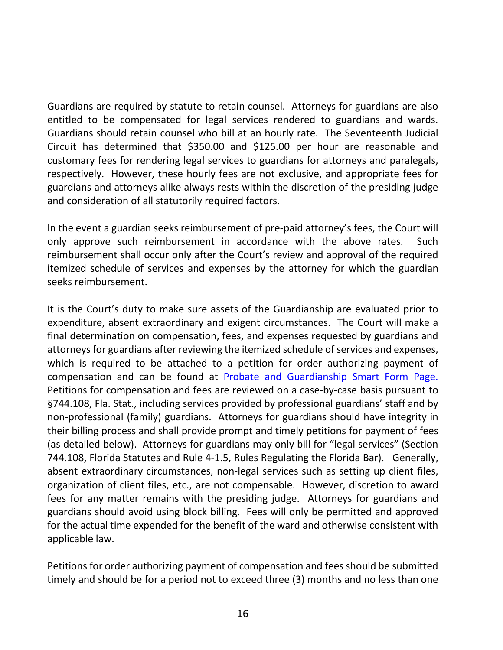Guardians are required by statute to retain counsel. Attorneys for guardians are also entitled to be compensated for legal services rendered to guardians and wards. Guardians should retain counsel who bill at an hourly rate. The Seventeenth Judicial Circuit has determined that \$350.00 and \$125.00 per hour are reasonable and customary fees for rendering legal services to guardians for attorneys and paralegals, respectively. However, these hourly fees are not exclusive, and appropriate fees for guardians and attorneys alike always rests within the discretion of the presiding judge and consideration of all statutorily required factors.

In the event a guardian seeks reimbursement of pre-paid attorney's fees, the Court will only approve such reimbursement in accordance with the above rates. Such reimbursement shall occur only after the Court's review and approval of the required itemized schedule of services and expenses by the attorney for which the guardian seeks reimbursement.

It is the Court's duty to make sure assets of the Guardianship are evaluated prior to expenditure, absent extraordinary and exigent circumstances. The Court will make a final determination on compensation, fees, and expenses requested by guardians and attorneys for guardians after reviewing the itemized schedule of services and expenses, which is required to be attached to a petition for order authorizing payment of compensation and can be found at [Probate and Guardianship Smart Form Page.](http://www.17th.flcourts.org/index.php/judges/probate/probate-and-guardianship-smart-forms) Petitions for compensation and fees are reviewed on a case-by-case basis pursuant to §744.108, Fla. Stat., including services provided by professional guardians' staff and by non-professional (family) guardians. Attorneys for guardians should have integrity in their billing process and shall provide prompt and timely petitions for payment of fees (as detailed below). Attorneys for guardians may only bill for "legal services" (Section 744.108, Florida Statutes and Rule 4-1.5, Rules Regulating the Florida Bar). Generally, absent extraordinary circumstances, non-legal services such as setting up client files, organization of client files, etc., are not compensable. However, discretion to award fees for any matter remains with the presiding judge. Attorneys for guardians and guardians should avoid using block billing. Fees will only be permitted and approved for the actual time expended for the benefit of the ward and otherwise consistent with applicable law.

Petitions for order authorizing payment of compensation and fees should be submitted timely and should be for a period not to exceed three (3) months and no less than one